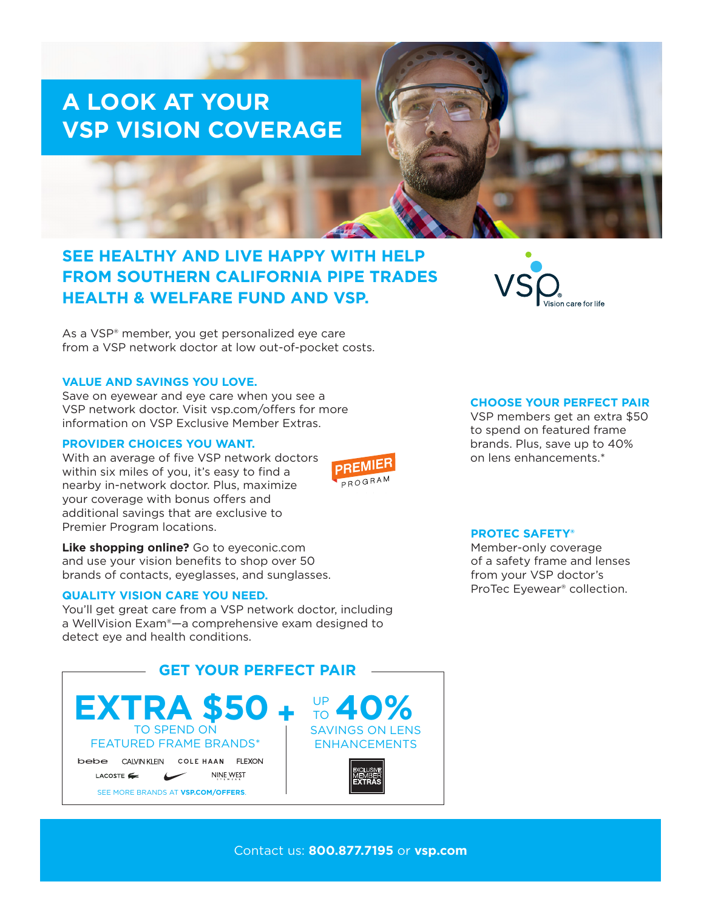# **A LOOK AT YOUR VSP VISION COVERAGE**

# **SEE HEALTHY AND LIVE HAPPY WITH HELP FROM SOUTHERN CALIFORNIA PIPE TRADES HEALTH & WELFARE FUND AND VSP.**

As a VSP® member, you get personalized eye care from a VSP network doctor at low out-of-pocket costs.

## **VALUE AND SAVINGS YOU LOVE.**

Save on eyewear and eye care when you see a VSP network doctor. Visit vsp.com/offers for more information on VSP Exclusive Member Extras.

#### **PROVIDER CHOICES YOU WANT.**

With an average of five VSP network doctors within six miles of you, it's easy to find a nearby in-network doctor. Plus, maximize your coverage with bonus offers and additional savings that are exclusive to Premier Program locations.

**Like shopping online?** Go to eyeconic.com and use your vision benefits to shop over 50 brands of contacts, eyeglasses, and sunglasses.

### **QUALITY VISION CARE YOU NEED.**

You'll get great care from a VSP network doctor, including a WellVision Exam®—a comprehensive exam designed to detect eye and health conditions.



#### **CHOOSE YOUR PERFECT PAIR**

VSP members get an extra \$50 to spend on featured frame brands. Plus, save up to 40% on lens enhancements.\*

#### **PROTEC SAFETY®**

Member-only coverage of a safety frame and lenses from your VSP doctor's ProTec Eyewear® collection.

Contact us: **800.877.7195** or **vsp.com**

**PREMI** PROGRAM